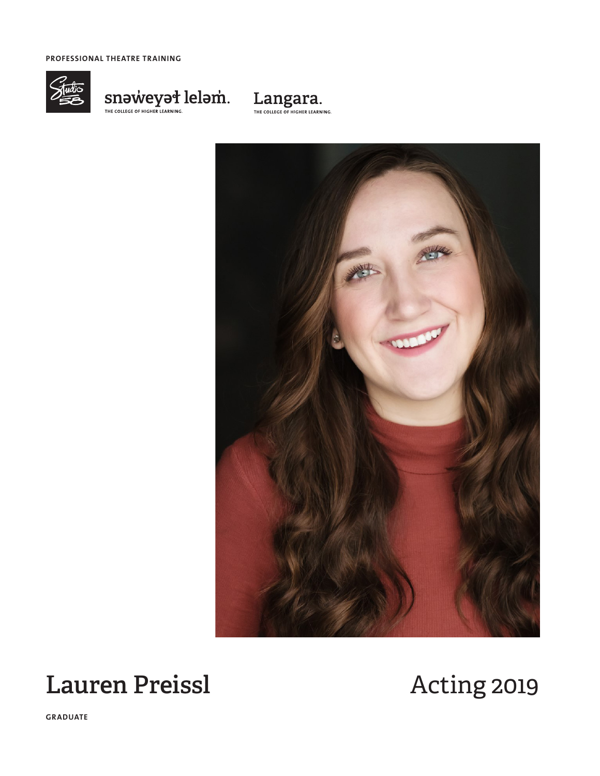**PROFESSIONAL THEATRE TRAINING**



# $\underset{\text{THE COMIGC OF HIGHERRINING.}}{\text{SNOUIGC OF HIGHERRINING.}} \text{lelem.}$





# Lauren Preissl **Acting 2019**

**GRADUATE**